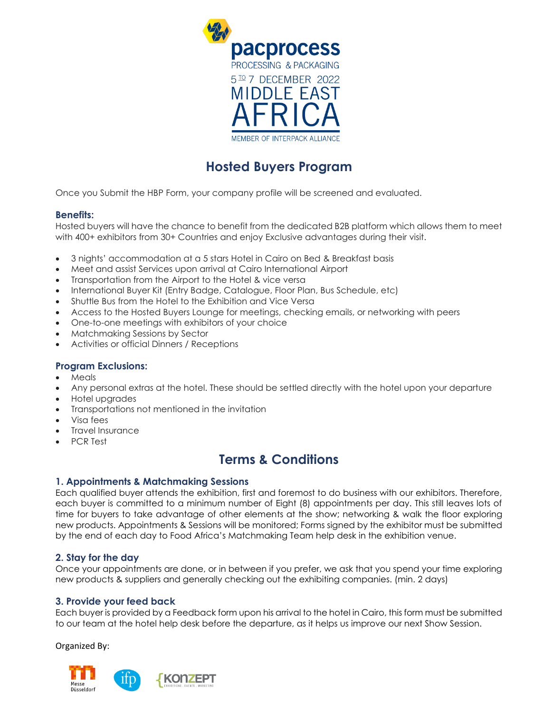

# **Hosted Buyers Program**

Once you Submit the HBP Form, your company profile will be screened and evaluated.

#### **Benefits:**

Hosted buyers will have the chance to benefit from the dedicated B2B platform which allows them to meet with 400+ exhibitors from 30+ Countries and enjoy Exclusive advantages during their visit.

- 3 nights' accommodation at a 5 stars Hotel in Cairo on Bed & Breakfast basis
- Meet and assist Services upon arrival at Cairo International Airport
- Transportation from the Airport to the Hotel & vice versa
- International Buyer Kit (Entry Badge, Catalogue, Floor Plan, Bus Schedule, etc)
- Shuttle Bus from the Hotel to the Exhibition and Vice Versa
- Access to the Hosted Buyers Lounge for meetings, checking emails, or networking with peers
- One-to-one meetings with exhibitors of your choice
- Matchmaking Sessions by Sector
- Activities or official Dinners / Receptions

#### **Program Exclusions:**

- Meals
- Any personal extras at the hotel. These should be settled directly with the hotel upon your departure
- Hotel upgrades
- Transportations not mentioned in the invitation
- Visa fees
- Travel Insurance
- PCR Test

## **Terms & Conditions**

#### **1. Appointments & Matchmaking Sessions**

Each qualified buyer attends the exhibition, first and foremost to do business with our exhibitors. Therefore, each buyer is committed to a minimum number of Eight (8) appointments per day. This still leaves lots of time for buyers to take advantage of other elements at the show; networking & walk the floor exploring new products. Appointments & Sessions will be monitored; Forms signed by the exhibitor must be submitted by the end of each day to Food Africa's Matchmaking Team help desk in the exhibition venue.

#### **2. Stay for the day**

Once your appointments are done, or in between if you prefer, we ask that you spend your time exploring new products & suppliers and generally checking out the exhibiting companies. (min. 2 days)

#### **3. Provide your feed back**

Each buyer is provided by a Feedback form upon his arrival to the hotel in Cairo, this form must be submitted to our team at the hotel help desk before the departure, as it helps us improve our next Show Session.

Organized By: